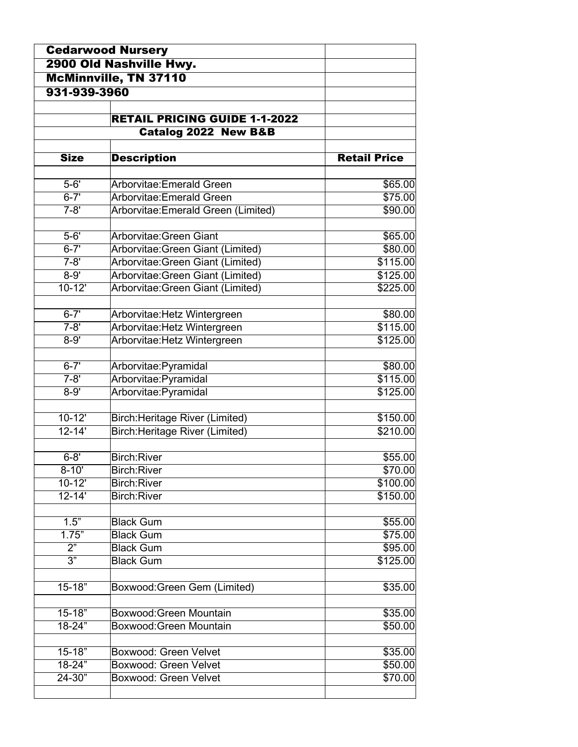|              | <b>Cedarwood Nursery</b>                                |                     |
|--------------|---------------------------------------------------------|---------------------|
|              | 2900 Old Nashville Hwy.<br><b>McMinnville, TN 37110</b> |                     |
| 931-939-3960 |                                                         |                     |
|              |                                                         |                     |
|              | <b>RETAIL PRICING GUIDE 1-1-2022</b>                    |                     |
|              | <b>Catalog 2022 New B&amp;B</b>                         |                     |
| <b>Size</b>  | <b>Description</b>                                      | <b>Retail Price</b> |
|              |                                                         |                     |
| $5 - 6'$     | Arborvitae: Emerald Green                               | \$65.00             |
| $6 - 7'$     | Arborvitae: Emerald Green                               | \$75.00             |
| $7 - 8'$     | Arborvitae: Emerald Green (Limited)                     | \$90.00             |
| $5 - 6'$     | Arborvitae: Green Giant                                 | \$65.00             |
| $6 - 7'$     | Arborvitae: Green Giant (Limited)                       | \$80.00             |
| $7 - 8'$     | Arborvitae: Green Giant (Limited)                       | \$115.00            |
| $8 - 9'$     | Arborvitae: Green Giant (Limited)                       | \$125.00            |
| $10 - 12'$   | Arborvitae: Green Giant (Limited)                       | \$225.00            |
| $6 - 7'$     | Arborvitae: Hetz Wintergreen                            | \$80.00             |
| $7 - 8'$     | Arborvitae: Hetz Wintergreen                            | \$115.00            |
| $8 - 9'$     | Arborvitae: Hetz Wintergreen                            | \$125.00            |
| $6 - 7'$     | Arborvitae: Pyramidal                                   | \$80.00             |
| $7 - 8'$     | Arborvitae: Pyramidal                                   | \$115.00            |
| $8 - 9'$     | Arborvitae: Pyramidal                                   | \$125.00            |
| $10-12'$     | <b>Birch: Heritage River (Limited)</b>                  | \$150.00            |
| $12 - 14'$   | <b>Birch: Heritage River (Limited)</b>                  | \$210.00            |
| $6 - 8'$     | <b>Birch:River</b>                                      | \$55.00             |
| $8 - 10'$    | <b>Birch:River</b>                                      | \$70.00             |
| $10 - 12'$   | <b>Birch:River</b>                                      | \$100.00            |
| $12 - 14'$   | <b>Birch:River</b>                                      | \$150.00            |
| 1.5"         | <b>Black Gum</b>                                        | \$55.00             |
| 1.75"        | <b>Black Gum</b>                                        | \$75.00             |
| 2"           | <b>Black Gum</b>                                        | \$95.00             |
| 3"           | <b>Black Gum</b>                                        | \$125.00            |
| $15 - 18"$   | Boxwood: Green Gem (Limited)                            | \$35.00             |
| $15 - 18"$   | Boxwood: Green Mountain                                 | \$35.00             |
| 18-24"       | Boxwood: Green Mountain                                 | \$50.00             |
| $15 - 18"$   | Boxwood: Green Velvet                                   | \$35.00             |
| 18-24"       | Boxwood: Green Velvet                                   | \$50.00             |
| 24-30"       | Boxwood: Green Velvet                                   | \$70.00             |
|              |                                                         |                     |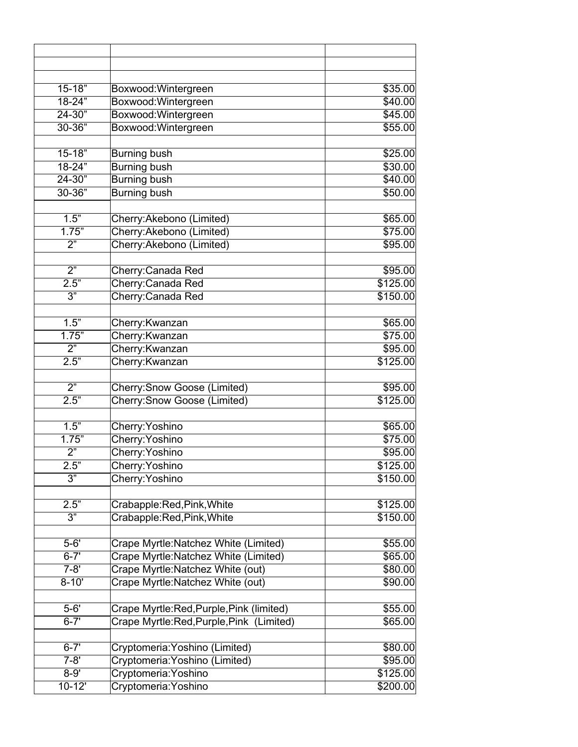| $15 - 18"$       | Boxwood: Wintergreen                   | \$35.00  |
|------------------|----------------------------------------|----------|
| 18-24"           | Boxwood: Wintergreen                   | \$40.00  |
| 24-30"           | Boxwood: Wintergreen                   | \$45.00  |
| $30 - 36"$       | Boxwood: Wintergreen                   | \$55.00  |
| $15 - 18"$       | <b>Burning bush</b>                    | \$25.00  |
| 18-24"           | <b>Burning bush</b>                    | \$30.00  |
| $24 - 30"$       | <b>Burning bush</b>                    | \$40.00  |
| $30 - 36"$       | <b>Burning bush</b>                    | \$50.00  |
| 1.5"             | Cherry: Akebono (Limited)              | \$65.00  |
| 1.75"            | Cherry: Akebono (Limited)              | \$75.00  |
| $\overline{2}$ " | Cherry: Akebono (Limited)              | \$95.00  |
| $\overline{2"}$  | Cherry: Canada Red                     | \$95.00  |
| 2.5"             | Cherry: Canada Red                     | \$125.00 |
| 3"               | Cherry: Canada Red                     | \$150.00 |
| 1.5"             | Cherry: Kwanzan                        | \$65.00  |
| 1.75"            | Cherry: Kwanzan                        | \$75.00  |
| 2"               | Cherry: Kwanzan                        | \$95.00  |
| 2.5"             | Cherry: Kwanzan                        | \$125.00 |
| $\overline{2}$ " | Cherry: Snow Goose (Limited)           | \$95.00  |
| 2.5"             | Cherry: Snow Goose (Limited)           | \$125.00 |
| 1.5"             | Cherry: Yoshino                        | \$65.00  |
| 1.75"            | Cherry: Yoshino                        | \$75.00  |
| 2"               | Cherry: Yoshino                        | \$95.00  |
| 2.5"             | Cherry: Yoshino                        | \$125.00 |
| $\overline{3^n}$ | Cherry: Yoshino                        | \$150.00 |
| 2.5"             | Crabapple:Red,Pink,White               | \$125.00 |
| $\overline{3"}$  | Crabapple:Red,Pink,White               | \$150.00 |
| $5 - 6'$         | Crape Myrtle: Natchez White (Limited)  | \$55.00  |
| $6 - 7'$         | Crape Myrtle: Natchez White (Limited)  | \$65.00  |
| $7 - 8'$         | Crape Myrtle: Natchez White (out)      | \$80.00  |
| $8 - 10'$        | Crape Myrtle: Natchez White (out)      | \$90.00  |
| $5 - 6'$         | Crape Myrtle:Red,Purple,Pink (limited) | \$55.00  |
| $6 - 7'$         | Crape Myrtle:Red,Purple,Pink (Limited) | \$65.00  |
| $6 - 7'$         | Cryptomeria: Yoshino (Limited)         | \$80.00  |
| $7 - 8'$         | Cryptomeria: Yoshino (Limited)         | \$95.00  |
| $8 - 9'$         | Cryptomeria: Yoshino                   | \$125.00 |
| $10 - 12'$       | Cryptomeria: Yoshino                   | \$200.00 |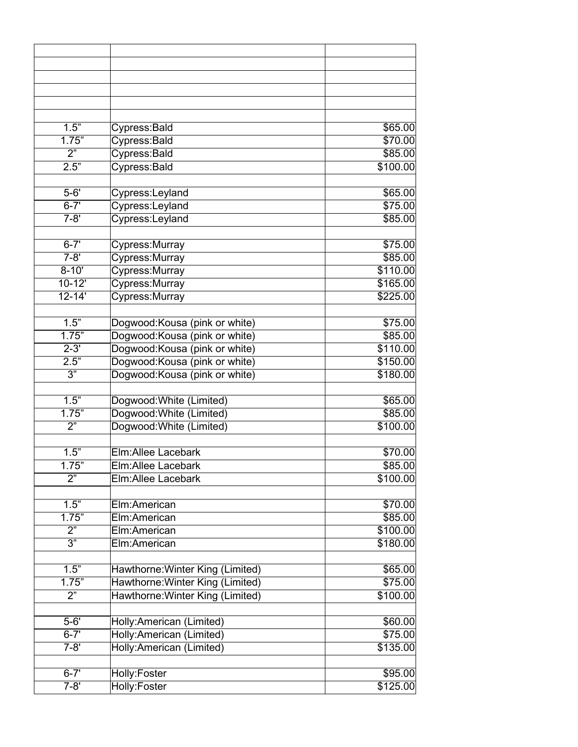| 1.5"                      | Cypress:Bald                     | \$65.00             |
|---------------------------|----------------------------------|---------------------|
| 1.75"                     | Cypress:Bald                     | \$70.00             |
| 2"                        | Cypress: Bald                    | \$85.00             |
| 2.5"                      | Cypress:Bald                     | \$100.00            |
| $5 - 6'$                  | Cypress:Leyland                  | \$65.00             |
| $6 - 7'$                  | Cypress:Leyland                  | \$75.00             |
| $7 - 8'$                  | Cypress:Leyland                  | \$85.00             |
| $6 - 7'$                  | Cypress:Murray                   | \$75.00             |
| $7 - 8'$                  | Cypress: Murray                  | \$85.00             |
| $8 - 10'$                 | Cypress: Murray                  | \$110.00            |
| $10 - 12'$                | Cypress: Murray                  | \$165.00            |
| $12 - 14'$                | Cypress: Murray                  | $\sqrt{$225.00}$    |
| 1.5"                      |                                  | \$75.00             |
| 1.75"                     | Dogwood: Kousa (pink or white)   | \$85.00             |
| $2 - 3'$                  | Dogwood:Kousa (pink or white)    |                     |
| 2.5"                      | Dogwood:Kousa (pink or white)    | \$110.00            |
| $\overline{3}$ "          | Dogwood:Kousa (pink or white)    | \$150.00            |
|                           | Dogwood:Kousa (pink or white)    | \$180.00            |
| 1.5"                      | Dogwood: White (Limited)         | \$65.00             |
| 1.75"                     | Dogwood: White (Limited)         | \$85.00             |
| $\overline{2^n}$          | Dogwood: White (Limited)         | \$100.00            |
| 1.5"                      | Elm:Allee Lacebark               | \$70.00             |
| 1.75"                     | Elm:Allee Lacebark               | \$85.00             |
| $\overline{2}$            | Elm:Allee Lacebark               | \$100.00            |
|                           |                                  |                     |
| 1.5"                      | Elm:American                     | \$70.00             |
| 1.75"<br>$\overline{2^n}$ | Elm:American<br>Elm:American     | \$85.00<br>\$100.00 |
| $\overline{3}$ "          |                                  |                     |
|                           | Elm:American                     | \$180.00            |
| 1.5"                      | Hawthorne: Winter King (Limited) | \$65.00             |
| 1.75"                     | Hawthorne: Winter King (Limited) | \$75.00             |
| $\overline{2}$ "          | Hawthorne: Winter King (Limited) | $\frac{1}{100.00}$  |
| $5 - 6'$                  | Holly:American (Limited)         | \$60.00             |
| $6 - 7'$                  | Holly:American (Limited)         | \$75.00             |
| $7 - 8'$                  | Holly:American (Limited)         | \$135.00            |
| $6 - 7'$                  | Holly:Foster                     | \$95.00             |
| $7 - 8'$                  | Holly:Foster                     | \$125.00            |
|                           |                                  |                     |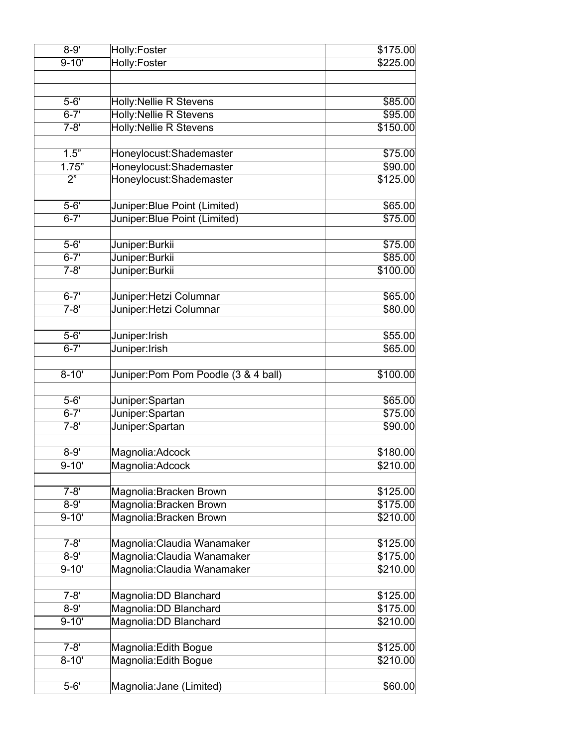| $8 - 9'$         | Holly:Foster                        | \$175.00 |
|------------------|-------------------------------------|----------|
| $9 - 10'$        | <b>Holly:Foster</b>                 | \$225.00 |
|                  |                                     |          |
|                  |                                     |          |
| $5 - 6'$         | Holly: Nellie R Stevens             | \$85.00  |
| $6 - 7'$         | Holly: Nellie R Stevens             | \$95.00  |
| $7 - 8'$         | <b>Holly: Nellie R Stevens</b>      | \$150.00 |
| 1.5"             | Honeylocust:Shademaster             | \$75.00  |
| 1.75"            | Honeylocust:Shademaster             | \$90.00  |
| $\overline{2}$ " | Honeylocust:Shademaster             | \$125.00 |
|                  |                                     |          |
| $5 - 6'$         | Juniper: Blue Point (Limited)       | \$65.00  |
| $6 - 7'$         | Juniper: Blue Point (Limited)       | \$75.00  |
| $5 - 6'$         | Juniper: Burkii                     | \$75.00  |
| $6 - 7'$         | Juniper:Burkii                      | \$85.00  |
| $7 - 8'$         | Juniper: Burkii                     | \$100.00 |
|                  |                                     |          |
| $6 - 7'$         | Juniper: Hetzi Columnar             | \$65.00  |
| $7 - 8'$         | Juniper: Hetzi Columnar             | \$80.00  |
| $5 - 6'$         | Juniper: Irish                      | \$55.00  |
| $6 - 7'$         | Juniper: Irish                      | \$65.00  |
| $8 - 10'$        | Juniper:Pom Pom Poodle (3 & 4 ball) | \$100.00 |
|                  |                                     |          |
| $5 - 6'$         | Juniper:Spartan                     | \$65.00  |
| $6 - 7'$         | Juniper:Spartan                     | \$75.00  |
| $7 - 8'$         | Juniper:Spartan                     | \$90.00  |
| $8 - 9'$         | Magnolia:Adcock                     | \$180.00 |
| $9 - 10'$        | Magnolia:Adcock                     | \$210.00 |
|                  |                                     |          |
| $7 - 8'$         | Magnolia: Bracken Brown             | \$125.00 |
| $8 - 9'$         | Magnolia: Bracken Brown             | \$175.00 |
| $9 - 10'$        | Magnolia: Bracken Brown             | \$210.00 |
| $7 - 8'$         | Magnolia: Claudia Wanamaker         | \$125.00 |
| $8 - 9'$         | Magnolia: Claudia Wanamaker         | \$175.00 |
| $9 - 10'$        | Magnolia: Claudia Wanamaker         | \$210.00 |
|                  |                                     |          |
| $7 - 8'$         | Magnolia:DD Blanchard               | \$125.00 |
| $8 - 9'$         | Magnolia:DD Blanchard               | \$175.00 |
| $9 - 10'$        | Magnolia:DD Blanchard               | \$210.00 |
| $7 - 8'$         | Magnolia:Edith Bogue                | \$125.00 |
| $8 - 10'$        | Magnolia: Edith Bogue               | \$210.00 |
|                  |                                     |          |
| $5 - 6'$         | Magnolia: Jane (Limited)            | \$60.00  |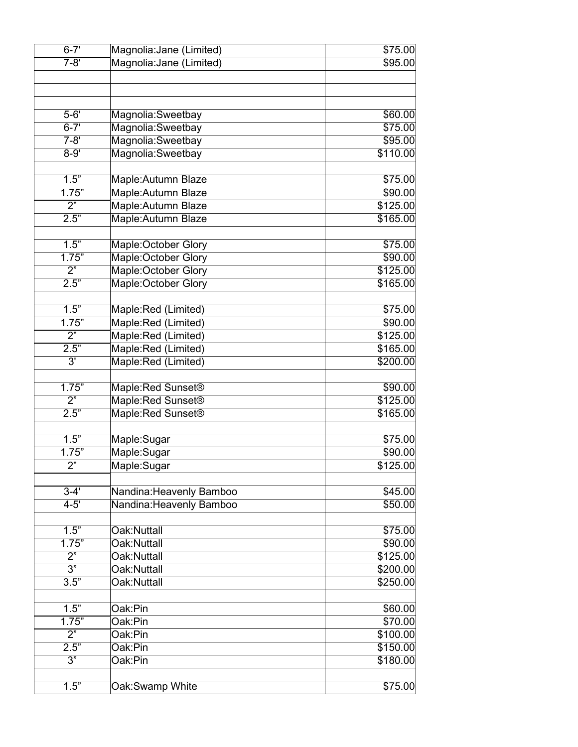| $6 - 7'$           | Magnolia: Jane (Limited)   | \$75.00              |
|--------------------|----------------------------|----------------------|
| $7 - 8'$           | Magnolia: Jane (Limited)   | \$95.00              |
|                    |                            |                      |
|                    |                            |                      |
| $5 - 6'$           | Magnolia:Sweetbay          | \$60.00              |
| $6 - 7'$           | Magnolia:Sweetbay          | \$75.00              |
| $7 - 8'$           | Magnolia:Sweetbay          | \$95.00              |
| $8 - 9'$           | Magnolia:Sweetbay          | \$110.00             |
| 1.5"               | Maple: Autumn Blaze        | \$75.00              |
| 1.75"              | Maple: Autumn Blaze        | \$90.00              |
| $\overline{2}$ "   | Maple: Autumn Blaze        | \$125.00             |
| 2.5"               | Maple: Autumn Blaze        | $\overline{$}165.00$ |
|                    |                            |                      |
| 1.5"               | Maple:October Glory        | \$75.00              |
| 1.75"              | Maple:October Glory        | \$90.00              |
| $\overline{2^n}$   | <b>Maple:October Glory</b> | \$125.00             |
| 2.5"               | Maple: October Glory       | \$165.00             |
| 1.5"               | Maple:Red (Limited)        | \$75.00              |
| 1.75"              | Maple:Red (Limited)        | \$90.00              |
| $\overline{2^n}$   | Maple:Red (Limited)        | \$125.00             |
| 2.5"               | Maple:Red (Limited)        | \$165.00             |
| 3'                 | Maple:Red (Limited)        | \$200.00             |
|                    |                            |                      |
| 1.75               | Maple:Red Sunset®          | \$90.00              |
| 2"                 | Maple:Red Sunset®          | $\overline{$125.00}$ |
| 2.5"               | Maple:Red Sunset®          | \$165.00             |
| 1.5"               | Maple:Sugar                | \$75.00              |
| 1.75"              | Maple:Sugar                | \$90.00              |
| $\overline{2}$ "   | Maple:Sugar                | \$125.00             |
|                    |                            |                      |
| $3 - 4'$<br>$4-5'$ | Nandina: Heavenly Bamboo   | \$45.00<br>\$50.00   |
|                    | Nandina: Heavenly Bamboo   |                      |
| 1.5"               | Oak:Nuttall                | \$75.00              |
| 1.75"              | Oak:Nuttall                | \$90.00              |
| $\overline{2}$     | Oak:Nuttall                | \$125.00             |
| $\overline{3"}$    | Oak:Nuttall                | \$200.00             |
| 3.5"               | Oak:Nuttall                | \$250.00             |
| 1.5"               | Oak:Pin                    | \$60.00              |
| 1.75"              | Oak:Pin                    | \$70.00              |
| $\overline{2^n}$   | Oak:Pin                    | \$100.00             |
| 2.5"               | Oak:Pin                    | \$150.00             |
| 3"                 | Oak:Pin                    | \$180.00             |
|                    |                            |                      |
| 1.5"               | Oak:Swamp White            | \$75.00              |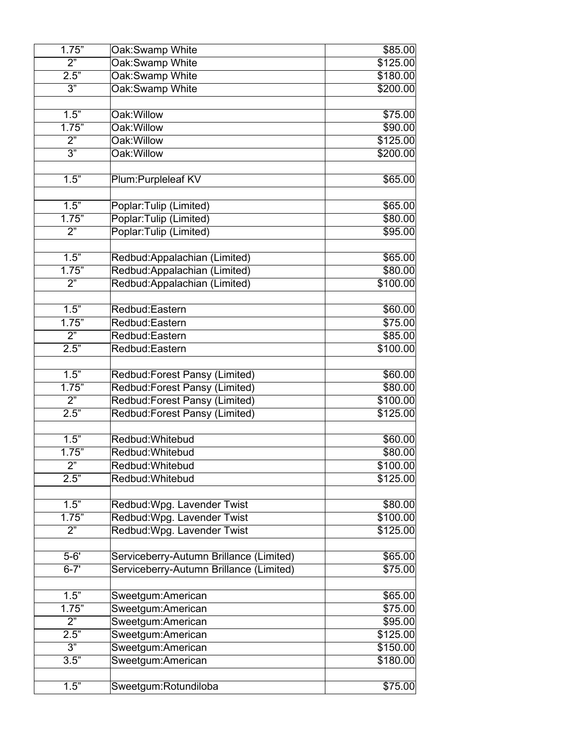| 1.75"                 | Oak:Swamp White                         | \$85.00              |
|-----------------------|-----------------------------------------|----------------------|
| $\overline{2}$ "      | Oak:Swamp White                         | $\overline{$}125.00$ |
| 2.5"                  | Oak: Swamp White                        | \$180.00             |
| $\overline{3^n}$      | Oak: Swamp White                        | \$200.00             |
|                       |                                         |                      |
| 1.5"                  | Oak:Willow                              | \$75.00              |
| 1.75"                 | Oak: Willow                             | \$90.00              |
| $\overline{2}$ "      | Oak: Willow                             | \$125.00             |
| $\overline{3"}$       | Oak:Willow                              | \$200.00             |
| 1.5"                  | Plum: Purpleleaf KV                     | \$65.00              |
|                       |                                         |                      |
| 1.5"                  | Poplar: Tulip (Limited)                 | \$65.00              |
| 1.75"                 | Poplar: Tulip (Limited)                 | \$80.00              |
| $\overline{2}$ "      | Poplar: Tulip (Limited)                 | \$95.00              |
| 1.5"                  | Redbud: Appalachian (Limited)           | \$65.00              |
| 1.75"                 | Redbud: Appalachian (Limited)           | \$80.00              |
| $\overline{2^n}$      | Redbud: Appalachian (Limited)           | \$100.00             |
|                       |                                         |                      |
| 1.5"                  | Redbud:Eastern                          | \$60.00              |
| 1.75"                 | Redbud:Eastern                          | \$75.00              |
| $\overline{2^n}$      | Redbud:Eastern                          | \$85.00              |
| 2.5"                  | Redbud:Eastern                          | $\frac{1}{100.00}$   |
| 1.5"                  | Redbud: Forest Pansy (Limited)          | \$60.00              |
| 1.75"                 | Redbud: Forest Pansy (Limited)          | \$80.00              |
| $\overline{2}$ "      | Redbud: Forest Pansy (Limited)          | \$100.00             |
| 2.5"                  | Redbud: Forest Pansy (Limited)          | \$125.00             |
|                       |                                         |                      |
| 1.5"                  | Redbud: Whitebud                        | \$60.00              |
| 1.75"                 | Redbud: Whitebud                        | \$80.00              |
| $\overline{2^n}$      | Redbud: Whitebud                        | \$100.00             |
| 2.5"                  | Redbud: Whitebud                        | \$125.00             |
| 1.5"                  | Redbud: Wpg. Lavender Twist             | \$80.00              |
| 1.75"                 | Redbud: Wpg. Lavender Twist             | \$100.00             |
| $\overline{2^n}$      | Redbud: Wpg. Lavender Twist             | \$125.00             |
|                       |                                         |                      |
| $5 - 6'$              | Serviceberry-Autumn Brillance (Limited) | \$65.00              |
| $6 - 7'$              | Serviceberry-Autumn Brillance (Limited) | \$75.00              |
| 1.5"                  | Sweetgum:American                       | \$65.00              |
| $1.75^{\overline{7}}$ | Sweetgum:American                       | \$75.00              |
| $\overline{2^n}$      | Sweetgum:American                       | \$95.00              |
| 2.5"                  | Sweetgum:American                       | \$125.00             |
| 3"                    | Sweetgum:American                       | \$150.00             |
| 3.5"                  | Sweetgum:American                       | \$180.00             |
| 1.5"                  | Sweetgum:Rotundiloba                    | \$75.00              |
|                       |                                         |                      |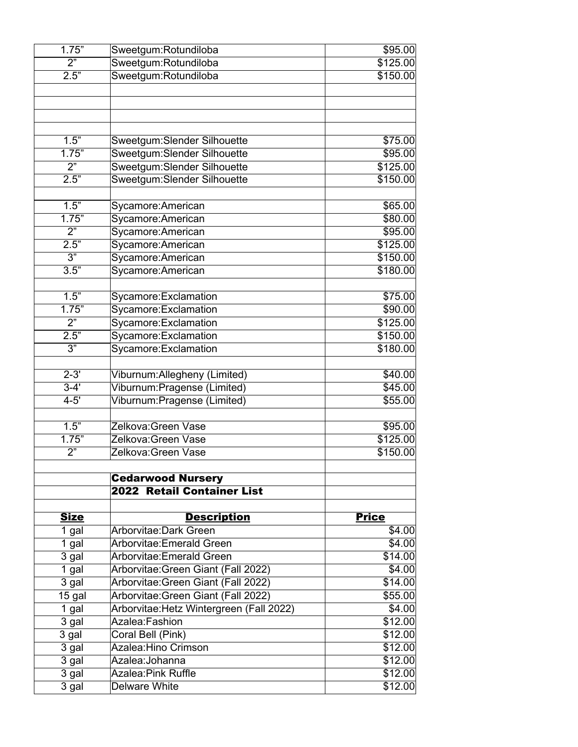| 1.75"              | Sweetgum:Rotundiloba                     | \$95.00      |
|--------------------|------------------------------------------|--------------|
| $\overline{2}$ "   | Sweetgum:Rotundiloba                     | \$125.00     |
| 2.5"               | Sweetgum:Rotundiloba                     | \$150.00     |
|                    |                                          |              |
|                    |                                          |              |
|                    |                                          |              |
|                    |                                          |              |
| 1.5"               | Sweetgum: Slender Silhouette             | \$75.00      |
| 1.75"              | Sweetgum:Slender Silhouette              | \$95.00      |
| $\overline{2^n}$   | Sweetgum:Slender Silhouette              | \$125.00     |
| 2.5"               | Sweetgum:Slender Silhouette              | \$150.00     |
| 1.5"               | Sycamore: American                       | \$65.00      |
| $1.\overline{75}$  | Sycamore: American                       | \$80.00      |
| $\overline{2"}$    | Sycamore: American                       | \$95.00      |
| 2.5"               | Sycamore: American                       | \$125.00     |
| $\overline{3"}$    | Sycamore: American                       | \$150.00     |
| $\overline{3.5}$ " | Sycamore: American                       | \$180.00     |
|                    |                                          |              |
| 1.5"               | Sycamore: Exclamation                    | \$75.00      |
| 1.75"              | Sycamore: Exclamation                    | \$90.00      |
| $\overline{2^n}$   | Sycamore: Exclamation                    | \$125.00     |
| 2.5"               | Sycamore: Exclamation                    | \$150.00     |
| $\overline{3}$ "   | Sycamore: Exclamation                    | \$180.00     |
|                    |                                          |              |
| $2 - 3'$           | Viburnum: Allegheny (Limited)            | \$40.00      |
| $3-4'$             | Viburnum: Pragense (Limited)             | \$45.00      |
| $4 - 5'$           | Viburnum: Pragense (Limited)             | \$55.00      |
| 1.5"               | Zelkova: Green Vase                      | \$95.00      |
| 1.75"              | Zelkova:Green Vase                       | \$125.00     |
| 2"                 | Zelkova: Green Vase                      | \$150.00     |
|                    |                                          |              |
|                    | <b>Cedarwood Nursery</b>                 |              |
|                    | <b>2022 Retail Container List</b>        |              |
| <b>Size</b>        | <b>Description</b>                       | <b>Price</b> |
| 1 gal              | Arborvitae: Dark Green                   | \$4.00       |
| 1 gal              | Arborvitae: Emerald Green                | \$4.00       |
| 3 gal              | Arborvitae: Emerald Green                | \$14.00      |
| 1 gal              | Arborvitae: Green Giant (Fall 2022)      | \$4.00       |
| 3 gal              | Arborvitae: Green Giant (Fall 2022)      | \$14.00      |
| 15 gal             | Arborvitae: Green Giant (Fall 2022)      | \$55.00      |
| 1 gal              | Arborvitae: Hetz Wintergreen (Fall 2022) | \$4.00       |
| 3 gal              | Azalea:Fashion                           | \$12.00      |
| 3 gal              | Coral Bell (Pink)                        | \$12.00      |
| 3 gal              | Azalea: Hino Crimson                     | \$12.00      |
| 3 gal              | Azalea: Johanna                          | \$12.00      |
| 3 gal              | <b>Azalea:Pink Ruffle</b>                | \$12.00      |
| 3 gal              | Delware White                            | \$12.00      |
|                    |                                          |              |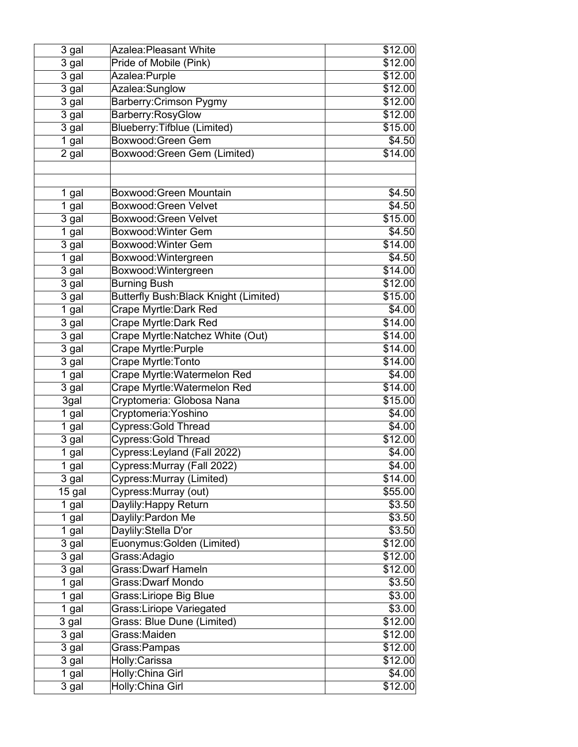| 3 gal  | <b>Azalea:Pleasant White</b>           | \$12.00            |
|--------|----------------------------------------|--------------------|
| 3 gal  | Pride of Mobile (Pink)                 | \$12.00            |
| 3 gal  | Azalea: Purple                         | \$12.00            |
| 3 gal  | Azalea:Sunglow                         | \$12.00            |
| 3 gal  | Barberry: Crimson Pygmy                | \$12.00            |
| 3 gal  | Barberry: Rosy Glow                    | \$12.00            |
| 3 gal  | Blueberry: Tifblue (Limited)           | \$15.00            |
| 1 gal  | Boxwood: Green Gem                     | \$4.50             |
| 2 gal  | Boxwood: Green Gem (Limited)           | \$14.00            |
|        |                                        |                    |
| 1 gal  | Boxwood: Green Mountain                | \$4.50             |
| 1 gal  | Boxwood: Green Velvet                  | \$4.50             |
| 3 gal  | Boxwood: Green Velvet                  | \$15.00            |
| 1 gal  | Boxwood: Winter Gem                    | \$4.50             |
| 3 gal  | Boxwood: Winter Gem                    | \$14.00            |
| 1 gal  | Boxwood: Wintergreen                   | \$4.50             |
| 3 gal  | Boxwood: Wintergreen                   | \$14.00            |
| 3 gal  | <b>Burning Bush</b>                    | \$12.00            |
| 3 gal  | Butterfly Bush: Black Knight (Limited) | \$15.00            |
| 1 gal  | Crape Myrtle: Dark Red                 | $\overline{$4.00}$ |
| 3 gal  | Crape Myrtle: Dark Red                 | \$14.00            |
| 3 gal  | Crape Myrtle: Natchez White (Out)      | \$14.00            |
| 3 gal  | Crape Myrtle: Purple                   | \$14.00            |
| 3 gal  | Crape Myrtle: Tonto                    | \$14.00            |
| 1 gal  | Crape Myrtle: Watermelon Red           | \$4.00             |
| 3 gal  | Crape Myrtle: Watermelon Red           | \$14.00            |
| 3gal   | Cryptomeria: Globosa Nana              | \$15.00            |
| 1 gal  | Cryptomeria: Yoshino                   | \$4.00             |
| 1 gal  | <b>Cypress: Gold Thread</b>            | \$4.00             |
| 3 gal  | Cypress: Gold Thread                   | \$12.00            |
| 1 gal  | Cypress: Leyland (Fall 2022)           | \$4.00             |
| 1 gal  | Cypress: Murray (Fall 2022)            | \$4.00             |
| 3 gal  | Cypress: Murray (Limited)              | \$14.00            |
| 15 gal | Cypress: Murray (out)                  | \$55.00            |
| 1 gal  | Daylily: Happy Return                  | \$3.50             |
| 1 gal  | Daylily: Pardon Me                     | \$3.50             |
| 1 gal  | Daylily: Stella D'or                   | \$3.50             |
| 3 gal  | Euonymus: Golden (Limited)             | \$12.00            |
| 3 gal  | Grass: Adagio                          | \$12.00            |
| 3 gal  | <b>Grass: Dwarf Hameln</b>             | \$12.00            |
| 1 gal  | <b>Grass: Dwarf Mondo</b>              | \$3.50             |
| 1 gal  | <b>Grass:Liriope Big Blue</b>          | \$3.00             |
| 1 gal  | <b>Grass:Liriope Variegated</b>        | \$3.00             |
| 3 gal  | Grass: Blue Dune (Limited)             | \$12.00            |
| 3 gal  | Grass:Maiden                           | \$12.00            |
| 3 gal  | Grass:Pampas                           | \$12.00            |
| 3 gal  | Holly:Carissa                          | \$12.00            |
| 1 gal  | Holly: China Girl                      | \$4.00             |
| 3 gal  | Holly: China Girl                      | \$12.00            |